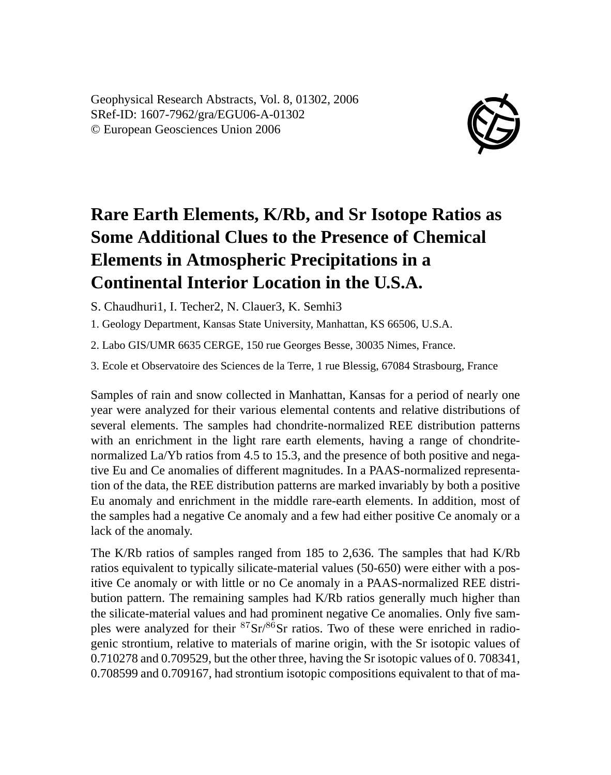Geophysical Research Abstracts, Vol. 8, 01302, 2006 SRef-ID: 1607-7962/gra/EGU06-A-01302 © European Geosciences Union 2006



## **Rare Earth Elements, K/Rb, and Sr Isotope Ratios as Some Additional Clues to the Presence of Chemical Elements in Atmospheric Precipitations in a Continental Interior Location in the U.S.A.**

S. Chaudhuri1, I. Techer2, N. Clauer3, K. Semhi3

1. Geology Department, Kansas State University, Manhattan, KS 66506, U.S.A.

2. Labo GIS/UMR 6635 CERGE, 150 rue Georges Besse, 30035 Nimes, France.

3. Ecole et Observatoire des Sciences de la Terre, 1 rue Blessig, 67084 Strasbourg, France

Samples of rain and snow collected in Manhattan, Kansas for a period of nearly one year were analyzed for their various elemental contents and relative distributions of several elements. The samples had chondrite-normalized REE distribution patterns with an enrichment in the light rare earth elements, having a range of chondritenormalized La/Yb ratios from 4.5 to 15.3, and the presence of both positive and negative Eu and Ce anomalies of different magnitudes. In a PAAS-normalized representation of the data, the REE distribution patterns are marked invariably by both a positive Eu anomaly and enrichment in the middle rare-earth elements. In addition, most of the samples had a negative Ce anomaly and a few had either positive Ce anomaly or a lack of the anomaly.

The K/Rb ratios of samples ranged from 185 to 2,636. The samples that had K/Rb ratios equivalent to typically silicate-material values (50-650) were either with a positive Ce anomaly or with little or no Ce anomaly in a PAAS-normalized REE distribution pattern. The remaining samples had K/Rb ratios generally much higher than the silicate-material values and had prominent negative Ce anomalies. Only five samples were analyzed for their  ${}^{87}Sr/{}^{86}Sr$  ratios. Two of these were enriched in radiogenic strontium, relative to materials of marine origin, with the Sr isotopic values of 0.710278 and 0.709529, but the other three, having the Sr isotopic values of 0. 708341, 0.708599 and 0.709167, had strontium isotopic compositions equivalent to that of ma